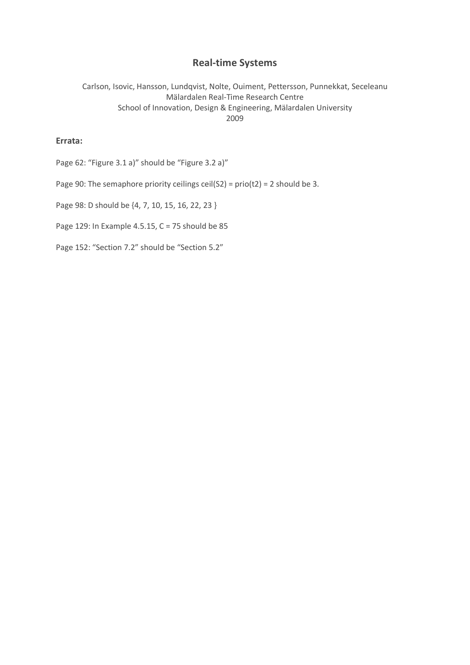# **Real-time Systems**

Carlson, Isovic, Hansson, Lundqvist, Nolte, Ouiment, Pettersson, Punnekkat, Seceleanu Mälardalen Real-Time Research Centre School of Innovation, Design & Engineering, Mälardalen University 2009

### **Errata:**

Page 62: "Figure 3.1 a)" should be "Figure 3.2 a)"

Page 90: The semaphore priority ceilings ceil(S2) =  $\text{prio}(t2) = 2$  should be 3.

Page 98: D should be {4, 7, 10, 15, 16, 22, 23 }

Page 129: In Example 4.5.15, C = 75 should be 85

Page 152: "Section 7.2" should be "Section 5.2"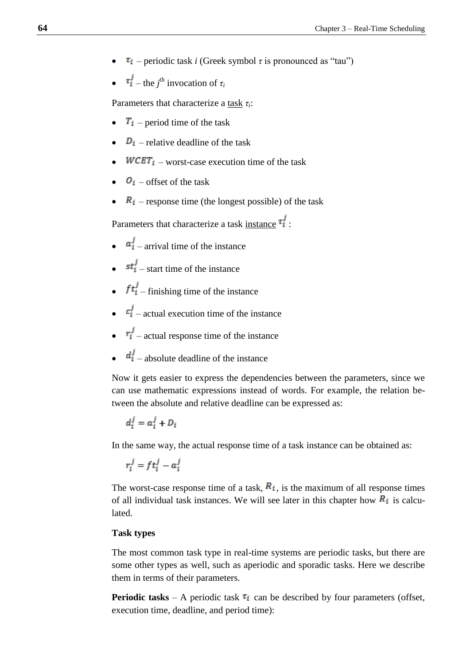- $\bullet$   $\tau_i$  periodic task *i* (Greek symbol  $\tau$  is pronounced as "tau")
- $\bullet$   $\tau_i^j$  the *j*<sup>th</sup> invocation of  $\tau_i$

Parameters that characterize a task *τi*:

- $\bullet$   $T_i$  period time of the task
- $\bullet$   $\overline{D_i}$  relative deadline of the task
- $WCET_i$  worst-case execution time of the task
- $\bullet$   $\bullet$   $\bullet$   $\bullet$  offset of the task
- $\bullet$   $\overline{R}_i$  response time (the longest possible) of the task

Parameters that characterize a task instance  $\tau_i^j$ :

- $\bullet$   $\alpha_i^j$  arrival time of the instance
- $\bullet$   $st_i^j$  start time of the instance
- $ft_i^j$  finishing time of the instance
- $\bullet$   $c_i^j$  actual execution time of the instance
- $\bullet$   $r_i^j$  actual response time of the instance
- $\bullet$   $d_i^j$  absolute deadline of the instance

Now it gets easier to express the dependencies between the parameters, since we can use mathematic expressions instead of words. For example, the relation between the absolute and relative deadline can be expressed as:

$$
d_i^j = a_i^j + D_i
$$

In the same way, the actual response time of a task instance can be obtained as:

$$
r_i^j = ft_i^j - a_i^j
$$

The worst-case response time of a task,  $R_i$ , is the maximum of all response times of all individual task instances. We will see later in this chapter how  $\mathbb{R}_i$  is calculated.

## **Task types**

The most common task type in real-time systems are periodic tasks, but there are some other types as well, such as aperiodic and sporadic tasks. Here we describe them in terms of their parameters.

**Periodic tasks** – A periodic task  $\tau_i$  can be described by four parameters (offset, execution time, deadline, and period time):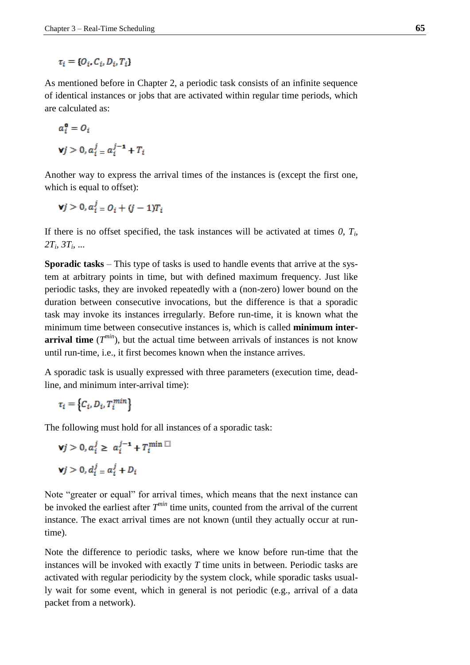$\tau_i = \{O_i, C_i, D_i, T_i\}$ 

As mentioned before in Chapter 2, a periodic task consists of an infinite sequence of identical instances or jobs that are activated within regular time periods, which are calculated as:

$$
a_i^0 = O_i
$$
  

$$
\mathbf{v}j > 0, a_i^j = a_i^{j-1} + T_i
$$

Another way to express the arrival times of the instances is (except the first one, which is equal to offset):

$$
\mathbf{v}j>0, a_i^j = O_i + (j-1)T_i
$$

If there is no offset specified, the task instances will be activated at times  $0$ ,  $T_i$ , *2T<sup>i</sup> , 3T<sup>i</sup>* , ...

**Sporadic tasks** – This type of tasks is used to handle events that arrive at the system at arbitrary points in time, but with defined maximum frequency. Just like periodic tasks, they are invoked repeatedly with a (non-zero) lower bound on the duration between consecutive invocations, but the difference is that a sporadic task may invoke its instances irregularly. Before run-time, it is known what the minimum time between consecutive instances is, which is called **minimum interarrival time**  $(T^{min})$ , but the actual time between arrivals of instances is not know until run-time, i.e., it first becomes known when the instance arrives.

A sporadic task is usually expressed with three parameters (execution time, deadline, and minimum inter-arrival time):

$$
\tau_i = \left\{ C_i, D_i, T_i^{min} \right\}
$$

The following must hold for all instances of a sporadic task:

$$
\mathbf{v}j > 0, a_i^j \ge a_i^{j-1} + T_i^{\min} \square
$$
  

$$
\mathbf{v}j > 0, d_i^j = a_i^j + D_i
$$

Note "greater or equal" for arrival times, which means that the next instance can be invoked the earliest after *T min* time units, counted from the arrival of the current instance. The exact arrival times are not known (until they actually occur at runtime).

Note the difference to periodic tasks, where we know before run-time that the instances will be invoked with exactly *T* time units in between. Periodic tasks are activated with regular periodicity by the system clock, while sporadic tasks usually wait for some event, which in general is not periodic (e.g., arrival of a data packet from a network).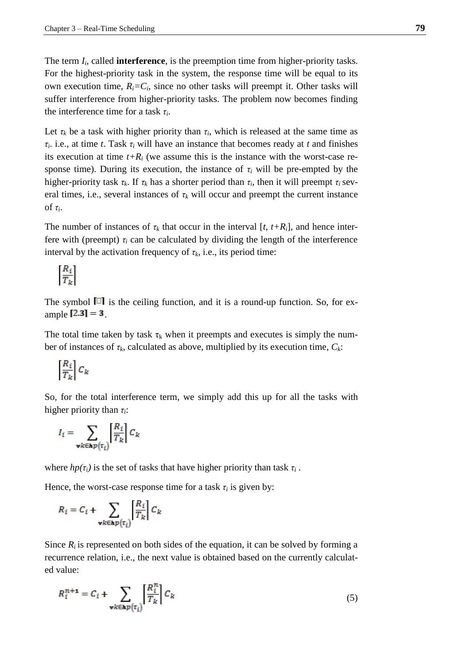The term *I<sup>i</sup>* , called **interference**, is the preemption time from higher-priority tasks. For the highest-priority task in the system, the response time will be equal to its own execution time,  $R_i = C_i$ , since no other tasks will preempt it. Other tasks will suffer interference from higher-priority tasks. The problem now becomes finding the interference time for a task *τ<sup>i</sup>* .

Let  $\tau_k$  be a task with higher priority than  $\tau_i$ , which is released at the same time as *τi* . i.e., at time *t*. Task *τ<sup>i</sup>* will have an instance that becomes ready at *t* and finishes its execution at time  $t+R_i$  (we assume this is the instance with the worst-case response time). During its execution, the instance of  $\tau_i$  will be pre-empted by the higher-priority task  $\tau_k$ . If  $\tau_k$  has a shorter period than  $\tau_i$ , then it will preempt  $\tau_i$  several times, i.e., several instances of  $\tau_k$  will occur and preempt the current instance of *τ<sup>i</sup>* .

The number of instances of  $\tau_k$  that occur in the interval  $[t, t+R_i]$ , and hence interfere with (preempt)  $\tau_i$  can be calculated by dividing the length of the interference interval by the activation frequency of  $\tau_k$ , i.e., its period time:

$$
\left[\frac{R_i}{T_k}\right]
$$

The symbol  $\Box$  is the ceiling function, and it is a round-up function. So, for example  $[2.3] = 3$ .

The total time taken by task  $\tau_k$  when it preempts and executes is simply the number of instances of  $\tau_k$ , calculated as above, multiplied by its execution time,  $C_k$ :

$$
\left[\frac{R_i}{T_k}\right]C_k
$$

So, for the total interference term, we simply add this up for all the tasks with higher priority than *τi*:

$$
I_i = \sum_{\mathbf{v}k \in \mathbf{hp}\left(\tau_i\right)} \left| \frac{R_i}{T_k} \right| C_k
$$

where  $hp(\tau_i)$  is the set of tasks that have higher priority than task  $\tau_i$ .

Hence, the worst-case response time for a task  $\tau_i$  is given by:

$$
R_i = C_i + \sum_{\mathbf{v}k \in \mathbf{hp}(\tau_i)} \left[ \frac{R_i}{T_k} \right] C_k
$$

Since  $R_i$  is represented on both sides of the equation, it can be solved by forming a recurrence relation, i.e., the next value is obtained based on the currently calculated value:

$$
R_i^{n+1} = C_i + \sum_{\mathbf{v}k \in \mathbf{kp}(\tau_i)} \left[ \frac{R_i^n}{T_k} \right] C_k \tag{5}
$$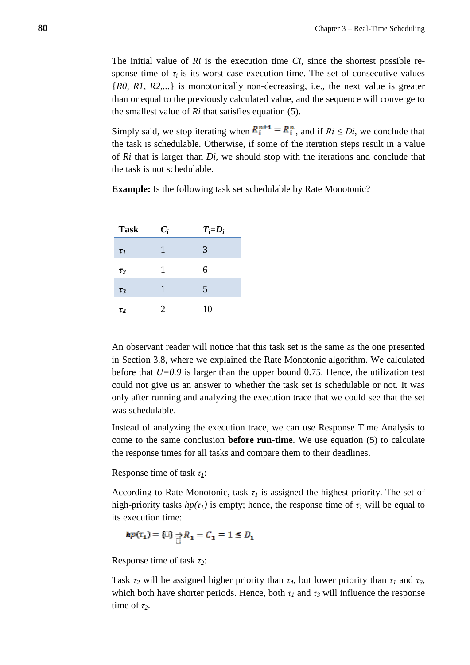The initial value of *Ri* is the execution time *Ci,* since the shortest possible response time of  $\tau_i$  is its worst-case execution time. The set of consecutive values {*R0, R1, R2,...*} is monotonically non-decreasing, i.e., the next value is greater than or equal to the previously calculated value, and the sequence will converge to the smallest value of *Ri* that satisfies equation (5).

Simply said, we stop iterating when  $R_i^{n+1} = R_i^n$ , and if  $R_i \leq Di$ , we conclude that the task is schedulable. Otherwise, if some of the iteration steps result in a value of *Ri* that is larger than *Di*, we should stop with the iterations and conclude that the task is not schedulable.

| <b>Task</b> | $C_i$ | $T_i = D_i$ |
|-------------|-------|-------------|
| $\tau_I$    | 1     | 3           |
| $\tau_2$    | 1     | 6           |
| $\tau_3$    | 1     | 5           |
| $\tau_4$    | 2     | 10          |

**Example:** Is the following task set schedulable by Rate Monotonic?

An observant reader will notice that this task set is the same as the one presented in Section 3.8, where we explained the Rate Monotonic algorithm. We calculated before that  $U=0.9$  is larger than the upper bound 0.75. Hence, the utilization test could not give us an answer to whether the task set is schedulable or not. It was only after running and analyzing the execution trace that we could see that the set was schedulable.

Instead of analyzing the execution trace, we can use Response Time Analysis to come to the same conclusion **before run-time**. We use equation (5) to calculate the response times for all tasks and compare them to their deadlines.

### Response time of task *τ1*:

According to Rate Monotonic, task  $\tau_l$  is assigned the highest priority. The set of high-priority tasks  $hp(\tau_1)$  is empty; hence, the response time of  $\tau_1$  will be equal to its execution time:

$$
hp(\tau_1) = \begin{cases} \square \end{cases} \Rightarrow R_1 = C_1 = 1 \le D_1
$$

### Response time of task *τ2*:

Task  $\tau_2$  will be assigned higher priority than  $\tau_4$ , but lower priority than  $\tau_1$  and  $\tau_3$ , which both have shorter periods. Hence, both  $\tau_l$  and  $\tau_3$  will influence the response time of  $\tau_2$ .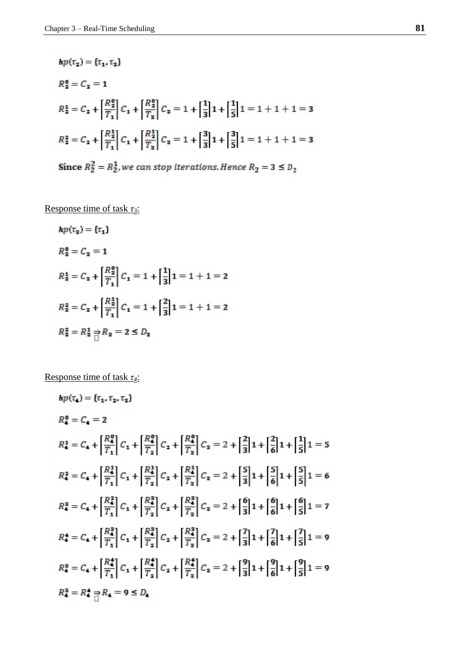$$
hp(\tau_2) = {\tau_1, \tau_3}
$$
  
\n
$$
R_2^0 = C_2 = 1
$$
  
\n
$$
R_2^1 = C_2 + \left[\frac{R_2^0}{T_1}\right]C_1 + \left[\frac{R_2^0}{T_2}\right]C_2 = 1 + \left[\frac{1}{3}\right]1 + \left[\frac{1}{5}\right]1 = 1 + 1 + 1 = 3
$$
  
\n
$$
R_2^2 = C_2 + \left[\frac{R_2^1}{T_1}\right]C_1 + \left[\frac{R_2^1}{T_2}\right]C_2 = 1 + \left[\frac{3}{3}\right]1 + \left[\frac{3}{5}\right]1 = 1 + 1 + 1 = 3
$$
  
\nSince  $R_2^2 = R_2^1$ , we can stop iterations. Hence  $R_2 = 3 \le D_2$ 

Response time of task *τ3*:

$$
hp(\tau_3) = {\tau_1}
$$
  
\n
$$
R_3^0 = C_3 = 1
$$
  
\n
$$
R_3^1 = C_3 + \left[\frac{R_3^0}{T_1}\right]C_1 = 1 + \left[\frac{1}{3}\right]1 = 1 + 1 = 2
$$
  
\n
$$
R_3^2 = C_3 + \left[\frac{R_3^1}{T_1}\right]C_1 = 1 + \left[\frac{2}{3}\right]1 = 1 + 1 = 2
$$
  
\n
$$
R_3^2 = R_3^1 \Rightarrow R_3 = 2 \le D_3
$$

Response time of task *τ4*:

$$
hp(\tau_4) = \{\tau_1, \tau_2, \tau_3\}
$$
  
\n
$$
R_4^0 = C_4 = 2
$$
  
\n
$$
R_4^1 = C_4 + \left[\frac{R_4^0}{T_1}\right]C_1 + \left[\frac{R_4^0}{T_2}\right]C_2 + \left[\frac{R_4^0}{T_3}\right]C_3 = 2 + \left[\frac{2}{3}\right]1 + \left[\frac{2}{6}\right]1 + \left[\frac{1}{5}\right]1 = 5
$$
  
\n
$$
R_4^2 = C_4 + \left[\frac{R_4^1}{T_1}\right]C_1 + \left[\frac{R_4^1}{T_2}\right]C_2 + \left[\frac{R_4^1}{T_3}\right]C_3 = 2 + \left[\frac{5}{3}\right]1 + \left[\frac{5}{6}\right]1 + \left[\frac{5}{5}\right]1 = 6
$$
  
\n
$$
R_4^3 = C_4 + \left[\frac{R_4^2}{T_1}\right]C_1 + \left[\frac{R_4^3}{T_2}\right]C_2 + \left[\frac{R_4^3}{T_3}\right]C_3 = 2 + \left[\frac{6}{3}\right]1 + \left[\frac{6}{6}\right]1 + \left[\frac{6}{5}\right]1 = 7
$$
  
\n
$$
R_4^4 = C_4 + \left[\frac{R_4^3}{T_1}\right]C_1 + \left[\frac{R_4^3}{T_2}\right]C_2 + \left[\frac{R_4^3}{T_3}\right]C_3 = 2 + \left[\frac{7}{3}\right]1 + \left[\frac{7}{6}\right]1 + \left[\frac{7}{5}\right]1 = 9
$$
  
\n
$$
R_4^5 = C_4 + \left[\frac{R_4^4}{T_1}\right]C_1 + \left[\frac{R_4^4}{T_2}\right]C_2 + \left[\frac{R_4^4}{T_3}\right]C_3 = 2 + \left[\frac{9}{3}\right]1 + \left[\frac{9}{6}\right]1 + \left[\frac{9}{5}\right]1 = 9
$$
  
\n
$$
R_4^5 = R_4^4 \frac{1}{10}R_4 = 9 \le D_4
$$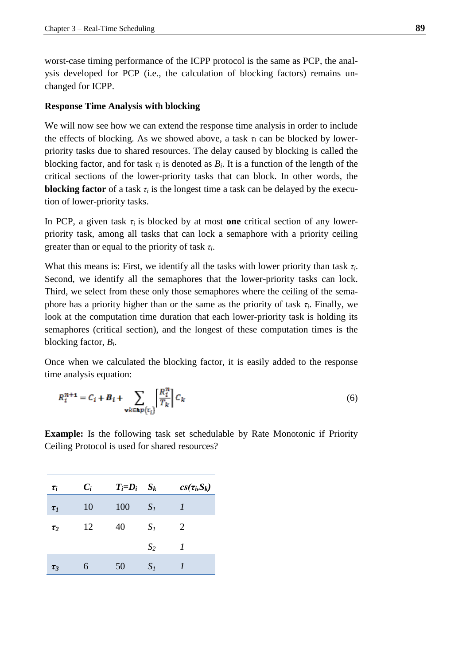worst-case timing performance of the ICPP protocol is the same as PCP, the analysis developed for PCP (i.e., the calculation of blocking factors) remains unchanged for ICPP.

### **Response Time Analysis with blocking**

We will now see how we can extend the response time analysis in order to include the effects of blocking. As we showed above, a task  $\tau_i$  can be blocked by lowerpriority tasks due to shared resources. The delay caused by blocking is called the blocking factor, and for task  $\tau_i$  is denoted as  $B_i$ . It is a function of the length of the critical sections of the lower-priority tasks that can block. In other words, the **blocking factor** of a task  $\tau_i$  is the longest time a task can be delayed by the execution of lower-priority tasks.

In PCP, a given task  $\tau_i$  is blocked by at most **one** critical section of any lowerpriority task, among all tasks that can lock a semaphore with a priority ceiling greater than or equal to the priority of task *τ<sup>i</sup>* .

What this means is: First, we identify all the tasks with lower priority than task *τ<sup>i</sup>* . Second, we identify all the semaphores that the lower-priority tasks can lock. Third, we select from these only those semaphores where the ceiling of the semaphore has a priority higher than or the same as the priority of task  $\tau_i$ . Finally, we look at the computation time duration that each lower-priority task is holding its semaphores (critical section), and the longest of these computation times is the blocking factor, *B<sup>i</sup>* .

Once when we calculated the blocking factor, it is easily added to the response time analysis equation:

$$
R_i^{n+1} = C_i + B_i + \sum_{\forall k \in \mathbf{hp}(\tau_i)} \left[ \frac{R_i^n}{T_k} \right] C_k \tag{6}
$$

**Example:** Is the following task set schedulable by Rate Monotonic if Priority Ceiling Protocol is used for shared resources?

| $\tau_i$ | $C_i$ | $T_i = D_i$ $S_k$ |       | $cs(\tau_i, S_k)$ |
|----------|-------|-------------------|-------|-------------------|
| $\tau_I$ | 10    | 100               | $S_I$ |                   |
| $\tau_2$ | 12    | 40                | $S_I$ | 2                 |
|          |       |                   | $S_2$ | 1                 |
| $\tau_3$ | 6     | 50                | $S_I$ |                   |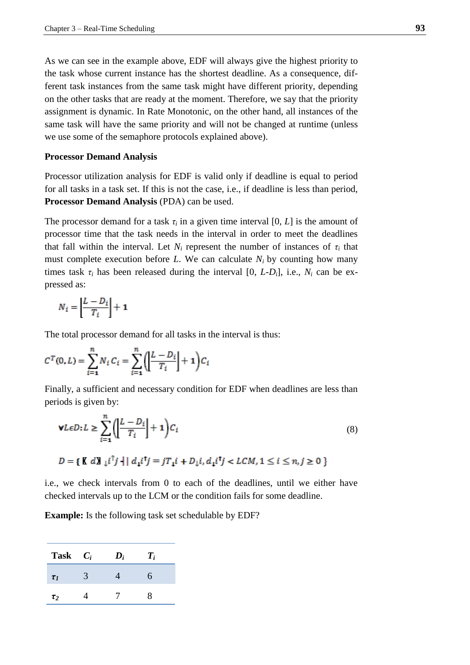As we can see in the example above, EDF will always give the highest priority to the task whose current instance has the shortest deadline. As a consequence, different task instances from the same task might have different priority, depending on the other tasks that are ready at the moment. Therefore, we say that the priority assignment is dynamic. In Rate Monotonic, on the other hand, all instances of the same task will have the same priority and will not be changed at runtime (unless we use some of the semaphore protocols explained above).

### **Processor Demand Analysis**

Processor utilization analysis for EDF is valid only if deadline is equal to period for all tasks in a task set. If this is not the case, i.e., if deadline is less than period, **Processor Demand Analysis** (PDA) can be used.

The processor demand for a task  $\tau$ *i* in a given time interval [0, *L*] is the amount of processor time that the task needs in the interval in order to meet the deadlines that fall within the interval. Let  $N_i$  represent the number of instances of  $\tau_i$  that must complete execution before *L*. We can calculate  $N_i$  by counting how many times task  $\tau_i$  has been released during the interval [0, *L-D<sub>i</sub>*], i.e.,  $N_i$  can be expressed as:

$$
N_i = \left\lfloor \frac{L - D_i}{T_i} \right\rfloor + \mathbf{1}
$$

The total processor demand for all tasks in the interval is thus:

$$
C^{T}(0, L) = \sum_{i=1}^{n} N_{i} C_{i} = \sum_{i=1}^{n} \left( \left| \frac{L - D_{i}}{T_{i}} \right| + 1 \right) C_{i}
$$

Finally, a sufficient and necessary condition for EDF when deadlines are less than periods is given by:

$$
\mathbf{v}L\epsilon D:L \ge \sum_{i=1}^{n} \left( \left| \frac{L - D_i}{T_i} \right| + 1 \right) C_i
$$
\n
$$
D = \{ \mathbf{K} d\mathbf{J}_{\downarrow} i^{\uparrow} j + | d_{\mathbf{I}} i^{\uparrow} j = jT_{\mathbf{I}} i + D_{\downarrow} i, d_{\mathbf{I}} i^{\uparrow} j < LCM, 1 \le i \le n, j \ge 0 \}
$$
\n
$$
(8)
$$

i.e., we check intervals from 0 to each of the deadlines, until we either have checked intervals up to the LCM or the condition fails for some deadline.

**Example:** Is the following task set schedulable by EDF?

| Task     | $C_i$ | $\boldsymbol{D_i}$ | $T_i$ |
|----------|-------|--------------------|-------|
| $\tau_I$ |       |                    | 6     |
| $\tau_2$ |       |                    | ×     |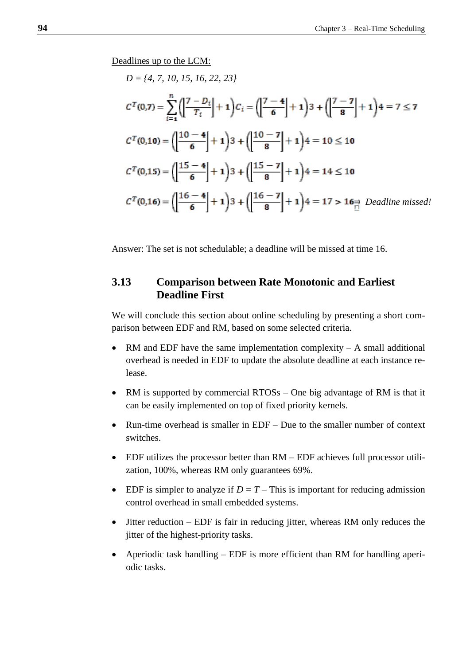Deadlines up to the LCM:

$$
D = \{4, 7, 10, 15, 16, 22, 23\}
$$
\n
$$
C^{T}(0,7) = \sum_{i=1}^{n} \left( \left| \frac{7 - D_{i}}{T_{i}} \right| + 1 \right) C_{i} = \left( \left| \frac{7 - 4}{6} \right| + 1 \right) 3 + \left( \left| \frac{7 - 7}{8} \right| + 1 \right) 4 = 7 \le 7
$$
\n
$$
C^{T}(0,10) = \left( \left| \frac{10 - 4}{6} \right| + 1 \right) 3 + \left( \left| \frac{10 - 7}{8} \right| + 1 \right) 4 = 10 \le 10
$$
\n
$$
C^{T}(0,15) = \left( \left| \frac{15 - 4}{6} \right| + 1 \right) 3 + \left( \left| \frac{15 - 7}{8} \right| + 1 \right) 4 = 14 \le 10
$$
\n
$$
C^{T}(0,16) = \left( \left| \frac{16 - 4}{6} \right| + 1 \right) 3 + \left( \left| \frac{16 - 7}{8} \right| + 1 \right) 4 = 17 > 16
$$
\n
$$
\frac{1}{10} \text{ Deadline missed!}
$$

Answer: The set is not schedulable; a deadline will be missed at time 16.

# **3.13 Comparison between Rate Monotonic and Earliest Deadline First**

We will conclude this section about online scheduling by presenting a short comparison between EDF and RM, based on some selected criteria.

- RM and EDF have the same implementation complexity  $A$  small additional overhead is needed in EDF to update the absolute deadline at each instance release.
- RM is supported by commercial RTOSs One big advantage of RM is that it can be easily implemented on top of fixed priority kernels.
- Run-time overhead is smaller in EDF Due to the smaller number of context switches.
- EDF utilizes the processor better than RM EDF achieves full processor utilization, 100%, whereas RM only guarantees 69%.
- **EDF** is simpler to analyze if  $D = T -$ This is important for reducing admission control overhead in small embedded systems.
- Jitter reduction EDF is fair in reducing jitter, whereas RM only reduces the jitter of the highest-priority tasks.
- Aperiodic task handling EDF is more efficient than RM for handling aperiodic tasks.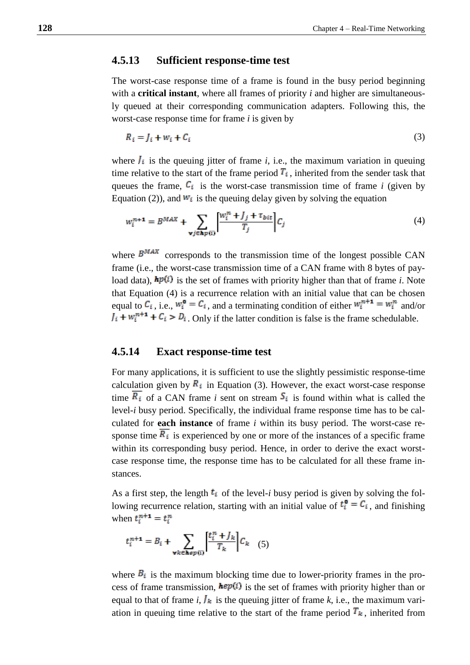## **4.5.13 Sufficient response-time test**

The worst-case response time of a frame is found in the busy period beginning with a **critical instant**, where all frames of priority *i* and higher are simultaneously queued at their corresponding communication adapters. Following this, the worst-case response time for frame *i* is given by

$$
R_i = J_i + w_i + C_i \tag{3}
$$

where  $I_i$  is the queuing jitter of frame *i*, i.e., the maximum variation in queuing time relative to the start of the frame period  $T_i$ , inherited from the sender task that queues the frame,  $\mathcal{C}_i$  is the worst-case transmission time of frame *i* (given by Equation (2)), and  $W_i$  is the queuing delay given by solving the equation

$$
w_i^{n+1} = B^{MAX} + \sum_{\forall j \in \mathbf{Ap}(i)} \left[ \frac{w_i^n + J_j + \tau_{bit}}{T_j} \right] C_j \tag{4}
$$

where  $B^{MAX}$  corresponds to the transmission time of the longest possible CAN frame (i.e., the worst-case transmission time of a CAN frame with 8 bytes of payload data),  $\mathbf{h}p(i)$  is the set of frames with priority higher than that of frame *i*. Note that Equation (4) is a recurrence relation with an initial value that can be chosen equal to  $C_i$ , i.e.,  $w_i^0 = C_i$ , and a terminating condition of either  $w_i^{n+1} = w_i^n$  and/or  $J_i + w_i^{n+1} + C_i > D_i$ . Only if the latter condition is false is the frame schedulable.

# **4.5.14 Exact response-time test**

For many applications, it is sufficient to use the slightly pessimistic response-time calculation given by  $\mathbb{R}_i$  in Equation (3). However, the exact worst-case response time  $\overline{R_i}$  of a CAN frame *i* sent on stream  $S_i$  is found within what is called the level-*i* busy period. Specifically, the individual frame response time has to be calculated for **each instance** of frame *i* within its busy period. The worst-case response time  $\overline{R_i}$  is experienced by one or more of the instances of a specific frame within its corresponding busy period. Hence, in order to derive the exact worstcase response time, the response time has to be calculated for all these frame instances.

As a first step, the length  $t_i$  of the level-*i* busy period is given by solving the following recurrence relation, starting with an initial value of  $t_i^{\mathbf{0}} = C_i$ , and finishing when  $t_i^{n+1} = t_i^n$ 

$$
t_i^{n+1} = B_i + \sum_{\forall k \in \mathbf{A} \neq p(i)} \left[ \frac{t_i^n + J_k}{T_k} \right] C_k \quad (5)
$$

where  $B_i$  is the maximum blocking time due to lower-priority frames in the process of frame transmission,  $\mathbf{he}p(i)$  is the set of frames with priority higher than or equal to that of frame *i*,  $\mathbf{I}_k$  is the queuing jitter of frame *k*, i.e., the maximum variation in queuing time relative to the start of the frame period  $T_k$ , inherited from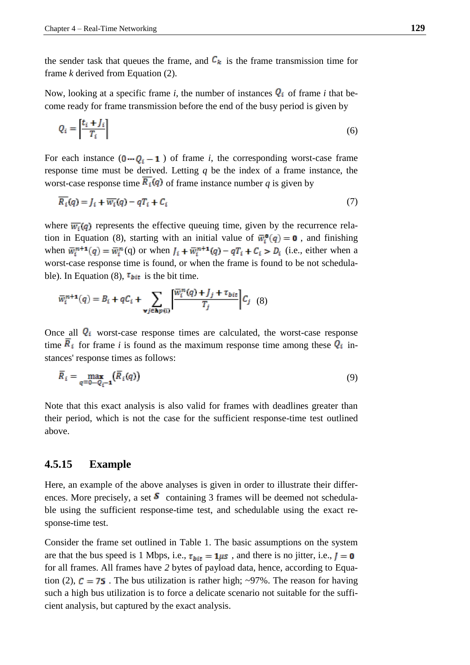the sender task that queues the frame, and  $\mathcal{C}_k$  is the frame transmission time for frame *k* derived from Equation (2).

Now, looking at a specific frame *i*, the number of instances  $Q_i$  of frame *i* that become ready for frame transmission before the end of the busy period is given by

$$
Q_i = \left[\frac{t_i + J_i}{T_i}\right] \tag{6}
$$

For each instance  $(0 - Q_i - 1)$  of frame *i*, the corresponding worst-case frame response time must be derived. Letting *q* be the index of a frame instance, the worst-case response time  $R_i(q)$  of frame instance number q is given by

$$
R_i(q) = J_i + \overline{w_i}(q) - qT_i + C_i
$$
\n<sup>(7)</sup>

where  $\overline{w_i}(q)$  represents the effective queuing time, given by the recurrence relation in Equation (8), starting with an initial value of  $\overline{w}_i^{\mathbf{0}}(q) = \mathbf{0}$ , and finishing when  $\overline{w}_i^{n+1}(q) = \overline{w}_i^n(q)$  or when  $J_i + \overline{w}_i^{n+1}(q) - qT_i + C_i > D_i$  (i.e., either when a worst-case response time is found, or when the frame is found to be not schedulable). In Equation (8),  $\tau_{bit}$  is the bit time.

$$
\overline{w}_{i}^{n+1}(q) = B_{i} + qC_{i} + \sum_{\mathbf{v}j \in \mathbf{hp}(i)} \left[ \frac{\overline{w}_{i}^{n}(q) + J_{j} + \tau_{bit}}{T_{j}} \right] C_{j} \tag{8}
$$

Once all  $Q_i$  worst-case response times are calculated, the worst-case response time  $\overline{R}_i$  for frame *i* is found as the maximum response time among these  $Q_i$  instances' response times as follows:

$$
\overline{R}_i = \max_{q=0\cdots Q_i-1} (\overline{R}_i(q))
$$
\n(9)

Note that this exact analysis is also valid for frames with deadlines greater than their period, which is not the case for the sufficient response-time test outlined above.

## **4.5.15 Example**

Here, an example of the above analyses is given in order to illustrate their differences. More precisely, a set  $\delta$  containing 3 frames will be deemed not schedulable using the sufficient response-time test, and schedulable using the exact response-time test.

Consider the frame set outlined in Table 1. The basic assumptions on the system are that the bus speed is 1 Mbps, i.e.,  $\tau_{bit} = 1 \mu s$ , and there is no jitter, i.e.,  $J = 0$ for all frames. All frames have *2* bytes of payload data, hence, according to Equation (2),  $C = 75$ . The bus utilization is rather high; ~97%. The reason for having such a high bus utilization is to force a delicate scenario not suitable for the sufficient analysis, but captured by the exact analysis.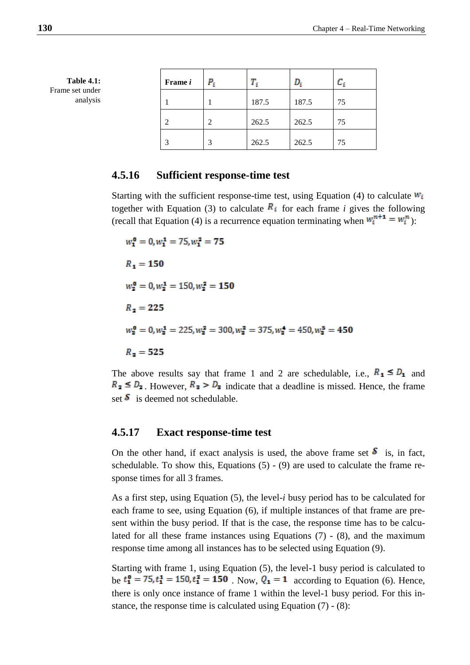| Frame i | P, |       |       |    |
|---------|----|-------|-------|----|
|         |    | 187.5 | 187.5 | 75 |
| 2       | っ  | 262.5 | 262.5 | 75 |
| 3       |    | 262.5 | 262.5 | 75 |

# **4.5.16 Sufficient response-time test**

Starting with the sufficient response-time test, using Equation (4) to calculate  $W_i$ together with Equation (3) to calculate  $\mathbb{R}_i$  for each frame *i* gives the following (recall that Equation (4) is a recurrence equation terminating when  $w_i^{n+1} = w_i^n$ ):

 $w_1^0 = 0, w_1^1 = 75, w_1^2 = 75$  $R_1 = 150$  $w_2^0 = 0, w_2^1 = 150, w_2^2 = 150$  $R_2 = 225$  $w_2^0 = 0, w_2^1 = 225, w_2^2 = 300, w_2^3 = 375, w_2^4 = 450, w_2^5 = 450$  $R_{\rm a} = 525$ 

The above results say that frame 1 and 2 are schedulable, i.e.,  $R_1 \leq D_1$  and  $R_2 \leq D_2$ . However,  $R_3 > D_3$  indicate that a deadline is missed. Hence, the frame set  $\delta$  is deemed not schedulable.

# **4.5.17 Exact response-time test**

On the other hand, if exact analysis is used, the above frame set  $\delta$  is, in fact, schedulable. To show this, Equations  $(5) - (9)$  are used to calculate the frame response times for all 3 frames.

As a first step, using Equation (5), the level-*i* busy period has to be calculated for each frame to see, using Equation (6), if multiple instances of that frame are present within the busy period. If that is the case, the response time has to be calculated for all these frame instances using Equations (7) - (8), and the maximum response time among all instances has to be selected using Equation (9).

Starting with frame 1, using Equation (5), the level-1 busy period is calculated to be  $t_1^0 = 75, t_1^1 = 150, t_1^2 = 150$ . Now,  $Q_1 = 1$  according to Equation (6). Hence, there is only once instance of frame 1 within the level-1 busy period. For this instance, the response time is calculated using Equation (7) - (8):

**Table 4.1:** Frame set under analysis